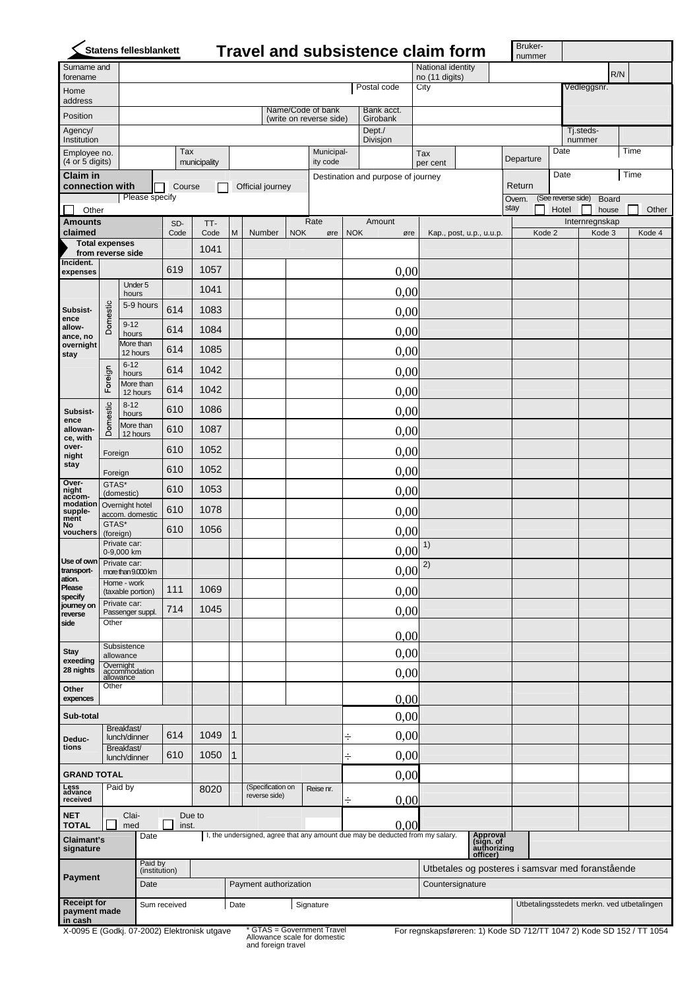|                                            |                                               | Statens fellesblankett                  |                                                                                                               |              |                       |                                    |            |                                              |            | <b>Travel and subsistence claim form</b> |                                      |                                            |                                                              |      | Bruker-<br>nummer |        |                    |                     |                          |      |        |
|--------------------------------------------|-----------------------------------------------|-----------------------------------------|---------------------------------------------------------------------------------------------------------------|--------------|-----------------------|------------------------------------|------------|----------------------------------------------|------------|------------------------------------------|--------------------------------------|--------------------------------------------|--------------------------------------------------------------|------|-------------------|--------|--------------------|---------------------|--------------------------|------|--------|
| Surname and<br>forename                    |                                               |                                         |                                                                                                               |              |                       |                                    |            |                                              |            |                                          |                                      | National identity<br>R/N<br>no (11 digits) |                                                              |      |                   |        |                    |                     |                          |      |        |
| Home                                       |                                               |                                         |                                                                                                               |              |                       |                                    |            |                                              |            | Postal code                              | City                                 |                                            |                                                              |      |                   |        |                    | Vedleggsnr.         |                          |      |        |
| address<br>Position                        |                                               |                                         |                                                                                                               |              |                       |                                    |            | Name/Code of bank<br>(write on reverse side) |            | Bank acct.<br>Girobank                   |                                      |                                            |                                                              |      |                   |        |                    |                     |                          |      |        |
| Agency/<br>Institution                     |                                               |                                         |                                                                                                               |              |                       |                                    |            |                                              |            | Dept./<br>Divisjon                       |                                      |                                            |                                                              |      |                   |        |                    | Tj.steds-<br>nummer |                          |      |        |
| Employee no.                               |                                               |                                         | Tax                                                                                                           |              |                       |                                    |            | Municipal-                                   |            |                                          | Tax                                  |                                            |                                                              |      | Departure         |        | Date               |                     |                          | Time |        |
| (4 or 5 digits)<br><b>Claim in</b>         |                                               |                                         |                                                                                                               | municipality |                       |                                    |            | ity code                                     |            | Destination and purpose of journey       |                                      | per cent                                   |                                                              |      |                   |        | Date               |                     |                          | Time |        |
| connection with                            |                                               | Please specify                          | Course                                                                                                        |              |                       | Official journey                   |            |                                              |            |                                          |                                      |                                            |                                                              |      | Return<br>Overn.  |        | (See reverse side) |                     | Board                    |      |        |
| Other                                      |                                               |                                         |                                                                                                               |              |                       |                                    |            |                                              |            |                                          |                                      |                                            |                                                              | stay |                   |        | Hotel              |                     | house                    |      | Other  |
| <b>Amounts</b><br>claimed                  |                                               |                                         | SD-<br>Code                                                                                                   | TT-<br>Code  | M                     | Number                             | <b>NOK</b> | Rate<br>øre                                  | <b>NOK</b> | Amount<br>øre                            |                                      |                                            | Kap., post, u.p., u.u.p.                                     |      |                   | Kode 2 |                    |                     | Internregnskap<br>Kode 3 |      | Kode 4 |
| <b>Total expenses</b><br>from reverse side |                                               |                                         |                                                                                                               | 1041         |                       |                                    |            |                                              |            |                                          |                                      |                                            |                                                              |      |                   |        |                    |                     |                          |      |        |
| Incident.<br>expenses                      |                                               |                                         | 619                                                                                                           | 1057         |                       |                                    |            |                                              |            | 0,00                                     |                                      |                                            |                                                              |      |                   |        |                    |                     |                          |      |        |
|                                            | Domestic                                      | Under 5<br>hours                        |                                                                                                               | 1041         |                       |                                    |            |                                              |            | 0,00                                     |                                      |                                            |                                                              |      |                   |        |                    |                     |                          |      |        |
| Subsist-<br>ence                           |                                               | 5-9 hours                               | 614                                                                                                           | 1083         |                       |                                    |            |                                              |            | 0,00                                     |                                      |                                            |                                                              |      |                   |        |                    |                     |                          |      |        |
| allow-<br>ance, no                         |                                               | $9-12$<br>hours                         | 614                                                                                                           | 1084         |                       |                                    |            |                                              |            | 0,00                                     |                                      |                                            |                                                              |      |                   |        |                    |                     |                          |      |        |
| overnight<br>stay                          |                                               | More than<br>12 hours                   | 614                                                                                                           | 1085         |                       |                                    |            |                                              |            | 0,00                                     |                                      |                                            |                                                              |      |                   |        |                    |                     |                          |      |        |
|                                            | Foreign                                       | $6 - 12$<br>hours                       | 614                                                                                                           | 1042         |                       |                                    |            |                                              |            | 0,00                                     |                                      |                                            |                                                              |      |                   |        |                    |                     |                          |      |        |
|                                            |                                               | More than<br>12 hours                   | 614                                                                                                           | 1042         |                       |                                    |            |                                              |            | 0,00                                     |                                      |                                            |                                                              |      |                   |        |                    |                     |                          |      |        |
| Subsist-                                   | Domestic                                      | $8 - 12$<br>hours                       | 610                                                                                                           | 1086         |                       |                                    |            |                                              |            | 0,00                                     |                                      |                                            |                                                              |      |                   |        |                    |                     |                          |      |        |
| ence<br>allowan-                           |                                               | More than<br>12 hours                   | 610                                                                                                           | 1087         |                       |                                    |            |                                              |            | 0,00                                     |                                      |                                            |                                                              |      |                   |        |                    |                     |                          |      |        |
| ce, with<br>over-<br>night                 | Foreign                                       |                                         | 610                                                                                                           | 1052         |                       |                                    |            |                                              |            | 0,00                                     |                                      |                                            |                                                              |      |                   |        |                    |                     |                          |      |        |
| stay                                       | Foreign                                       |                                         | 610                                                                                                           | 1052         |                       |                                    |            |                                              |            | 0,00                                     |                                      |                                            |                                                              |      |                   |        |                    |                     |                          |      |        |
| Over-<br>night                             | GTAS*                                         | (domestic)                              | 610                                                                                                           | 1053         |                       |                                    |            |                                              |            | 0,00                                     |                                      |                                            |                                                              |      |                   |        |                    |                     |                          |      |        |
| accom-<br>modation<br>supple-              | Overnight hotel<br>accom. domestic            |                                         | 610                                                                                                           | 1078         |                       |                                    |            |                                              |            | 0,00                                     |                                      |                                            |                                                              |      |                   |        |                    |                     |                          |      |        |
| ment<br>No<br>vouchers                     | GTAS*<br>(foreign)                            |                                         | 610                                                                                                           | 1056         |                       |                                    |            |                                              |            | 0,00                                     |                                      |                                            |                                                              |      |                   |        |                    |                     |                          |      |        |
|                                            | Private car:<br>0-9,000 km                    |                                         |                                                                                                               |              |                       |                                    |            |                                              |            | 0,00                                     | 1)                                   |                                            |                                                              |      |                   |        |                    |                     |                          |      |        |
| transport-                                 | Use of own Private car:<br>more than 9.000 km |                                         |                                                                                                               |              |                       |                                    |            |                                              |            | 0,00                                     | 2)                                   |                                            |                                                              |      |                   |        |                    |                     |                          |      |        |
| ation.<br>Please                           | Home - work<br>(taxable portion)              |                                         | 111                                                                                                           | 1069         |                       |                                    |            |                                              |            | 0,00                                     |                                      |                                            |                                                              |      |                   |        |                    |                     |                          |      |        |
| specify<br>journey on<br>reverse           | Private car:<br>Passenger suppl.              |                                         | 714                                                                                                           | 1045         |                       |                                    |            |                                              |            | 0,00                                     |                                      |                                            |                                                              |      |                   |        |                    |                     |                          |      |        |
| side                                       | Other                                         |                                         |                                                                                                               |              |                       |                                    |            |                                              |            | 0,00                                     |                                      |                                            |                                                              |      |                   |        |                    |                     |                          |      |        |
| <b>Stay</b>                                | Subsistence<br>allowance                      |                                         |                                                                                                               |              |                       |                                    |            |                                              |            | 0,00                                     |                                      |                                            |                                                              |      |                   |        |                    |                     |                          |      |        |
| exeeding<br>28 nights                      |                                               | Overnight<br>accommodation<br>allowance |                                                                                                               |              |                       |                                    |            |                                              |            | 0,00                                     |                                      |                                            |                                                              |      |                   |        |                    |                     |                          |      |        |
| Other<br>expences                          | Other                                         |                                         |                                                                                                               |              |                       |                                    |            |                                              |            | 0,00                                     |                                      |                                            |                                                              |      |                   |        |                    |                     |                          |      |        |
| Sub-total                                  |                                               |                                         |                                                                                                               |              |                       |                                    |            |                                              |            | 0,00                                     |                                      |                                            |                                                              |      |                   |        |                    |                     |                          |      |        |
| Deduc-                                     | Breakfast/<br>lunch/dinner                    |                                         | 614                                                                                                           | 1049         | 1                     |                                    |            |                                              | ÷          | 0,00                                     |                                      |                                            |                                                              |      |                   |        |                    |                     |                          |      |        |
| tions                                      |                                               | Breakfast/<br>lunch/dinner              |                                                                                                               | 1050         | 1                     |                                    |            |                                              | ÷          | 0,00                                     |                                      |                                            |                                                              |      |                   |        |                    |                     |                          |      |        |
| <b>GRAND TOTAL</b>                         |                                               |                                         |                                                                                                               |              |                       |                                    |            |                                              |            | 0,00                                     |                                      |                                            |                                                              |      |                   |        |                    |                     |                          |      |        |
| Less<br>advance<br>received                |                                               | Paid by                                 |                                                                                                               | 8020         |                       | (Specification on<br>reverse side) |            | Reise nr.                                    |            | 0,00                                     |                                      |                                            |                                                              |      |                   |        |                    |                     |                          |      |        |
| NET                                        |                                               | Clai-                                   |                                                                                                               | Due to       |                       |                                    |            |                                              |            |                                          |                                      |                                            |                                                              |      |                   |        |                    |                     |                          |      |        |
| signature                                  | <b>TOTAL</b><br>Claimant's                    |                                         | 0.00<br>med<br>inst.<br>I, the undersigned, agree that any amount due may be deducted from my salary.<br>Date |              |                       |                                    |            |                                              |            |                                          | Approval<br>(sign. of<br>authorizing |                                            |                                                              |      |                   |        |                    |                     |                          |      |        |
|                                            |                                               |                                         | Paid by<br>(institution)                                                                                      |              |                       |                                    |            |                                              |            |                                          |                                      |                                            | officer)<br>Utbetales og posteres i samsvar med foranstående |      |                   |        |                    |                     |                          |      |        |
| <b>Payment</b>                             |                                               | Date                                    |                                                                                                               |              | Payment authorization |                                    |            |                                              |            |                                          |                                      | Countersignature                           |                                                              |      |                   |        |                    |                     |                          |      |        |
| <b>Receipt for</b>                         |                                               |                                         | Sum received                                                                                                  |              |                       | Date<br>Signature                  |            |                                              |            |                                          |                                      | Utbetalingsstedets merkn. ved utbetalingen |                                                              |      |                   |        |                    |                     |                          |      |        |
| payment made<br>in cash                    |                                               |                                         |                                                                                                               |              |                       |                                    |            |                                              |            |                                          |                                      |                                            |                                                              |      |                   |        |                    |                     |                          |      |        |

X-0095 E (Godkj. 07-2002) Elektronisk utgave

Allowance scale for domestic and foreign travel

For regnskapsføreren: 1) Kode SD 712/TT 1047 2) Kode SD 152 / TT 1054